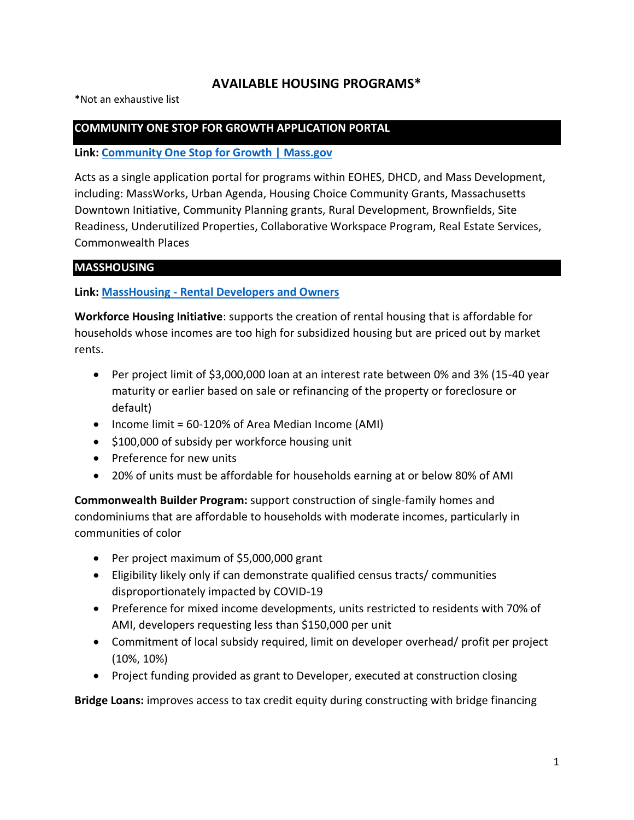# **AVAILABLE HOUSING PROGRAMS\***

\*Not an exhaustive list

#### **COMMUNITY ONE STOP FOR GROWTH APPLICATION PORTAL**

**Link: [Community One Stop for Growth | Mass.gov](https://www.mass.gov/guides/community-one-stop-for-growth)**

Acts as a single application portal for programs within EOHES, DHCD, and Mass Development, including: MassWorks, Urban Agenda, Housing Choice Community Grants, Massachusetts Downtown Initiative, Community Planning grants, Rural Development, Brownfields, Site Readiness, Underutilized Properties, Collaborative Workspace Program, Real Estate Services, Commonwealth Places

#### **MASSHOUSING**

**Link: MassHousing - [Rental Developers and Owners](https://www.masshousing.com/en/developers)**

**Workforce Housing Initiative**: supports the creation of rental housing that is affordable for households whose incomes are too high for subsidized housing but are priced out by market rents.

- Per project limit of \$3,000,000 loan at an interest rate between 0% and 3% (15-40 year maturity or earlier based on sale or refinancing of the property or foreclosure or default)
- Income limit = 60-120% of Area Median Income (AMI)
- \$100,000 of subsidy per workforce housing unit
- Preference for new units
- 20% of units must be affordable for households earning at or below 80% of AMI

**Commonwealth Builder Program:** support construction of single-family homes and condominiums that are affordable to households with moderate incomes, particularly in communities of color

- Per project maximum of \$5,000,000 grant
- Eligibility likely only if can demonstrate qualified census tracts/ communities disproportionately impacted by COVID-19
- Preference for mixed income developments, units restricted to residents with 70% of AMI, developers requesting less than \$150,000 per unit
- Commitment of local subsidy required, limit on developer overhead/ profit per project (10%, 10%)
- Project funding provided as grant to Developer, executed at construction closing

**Bridge Loans:** improves access to tax credit equity during constructing with bridge financing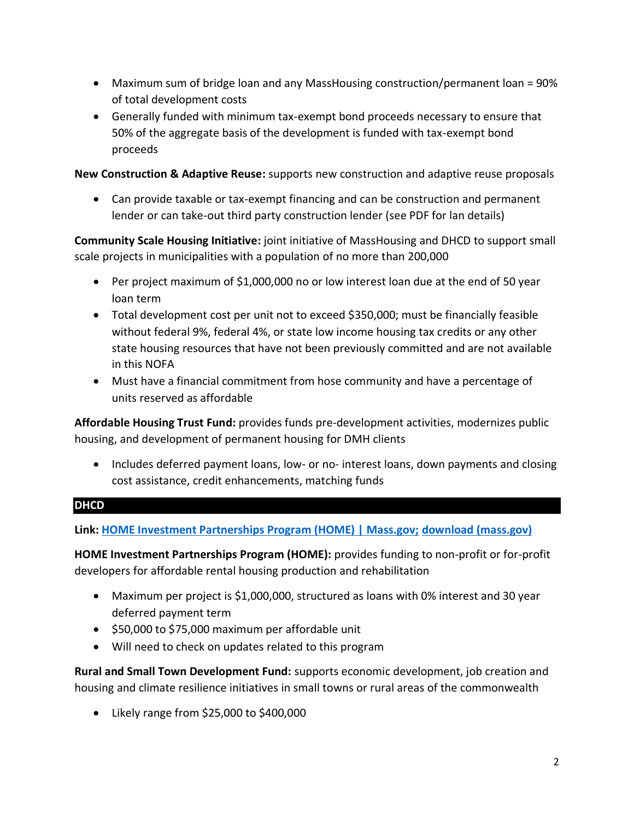- Maximum sum of bridge loan and any MassHousing construction/permanent loan = 90% of total development costs
- Generally funded with minimum tax-exempt bond proceeds necessary to ensure that 50% of the aggregate basis of the development is funded with tax-exempt bond proceeds

**New Construction & Adaptive Reuse:** supports new construction and adaptive reuse proposals

• Can provide taxable or tax-exempt financing and can be construction and permanent lender or can take-out third party construction lender (see PDF for lan details)

**Community Scale Housing Initiative:** joint initiative of MassHousing and DHCD to support small scale projects in municipalities with a population of no more than 200,000

- Per project maximum of \$1,000,000 no or low interest loan due at the end of 50 year loan term
- Total development cost per unit not to exceed \$350,000; must be financially feasible without federal 9%, federal 4%, or state low income housing tax credits or any other state housing resources that have not been previously committed and are not available in this NOFA
- Must have a financial commitment from hose community and have a percentage of units reserved as affordable

**Affordable Housing Trust Fund:** provides funds pre-development activities, modernizes public housing, and development of permanent housing for DMH clients

• Includes deferred payment loans, low- or no- interest loans, down payments and closing cost assistance, credit enhancements, matching funds

# **DHCD**

**Link: [HOME Investment Partnerships Program \(HOME\) | Mass.gov;](https://www.mass.gov/service-details/home-investment-partnerships-program-home) [download \(mass.gov\)](https://www.mass.gov/doc/rst-fy23-guidelines/download)**

**HOME Investment Partnerships Program (HOME):** provides funding to non-profit or for-profit developers for affordable rental housing production and rehabilitation

- Maximum per project is \$1,000,000, structured as loans with 0% interest and 30 year deferred payment term
- \$50,000 to \$75,000 maximum per affordable unit
- Will need to check on updates related to this program

**Rural and Small Town Development Fund:** supports economic development, job creation and housing and climate resilience initiatives in small towns or rural areas of the commonwealth

• Likely range from \$25,000 to \$400,000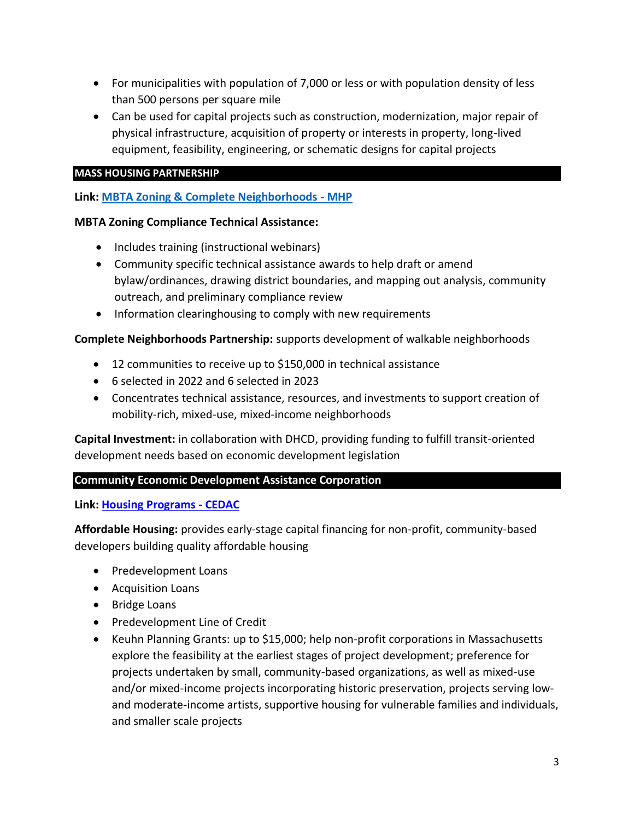- For municipalities with population of 7,000 or less or with population density of less than 500 persons per square mile
- Can be used for capital projects such as construction, modernization, major repair of physical infrastructure, acquisition of property or interests in property, long-lived equipment, feasibility, engineering, or schematic designs for capital projects

## **MASS HOUSING PARTNERSHIP**

# **Link: [MBTA Zoning & Complete Neighborhoods -](https://www.mhp.net/community/complete-neighborhoods-initiative) MHP**

#### **MBTA Zoning Compliance Technical Assistance:**

- Includes training (instructional webinars)
- Community specific technical assistance awards to help draft or amend bylaw/ordinances, drawing district boundaries, and mapping out analysis, community outreach, and preliminary compliance review
- Information clearinghousing to comply with new requirements

## **Complete Neighborhoods Partnership:** supports development of walkable neighborhoods

- 12 communities to receive up to \$150,000 in technical assistance
- 6 selected in 2022 and 6 selected in 2023
- Concentrates technical assistance, resources, and investments to support creation of mobility-rich, mixed-use, mixed-income neighborhoods

**Capital Investment:** in collaboration with DHCD, providing funding to fulfill transit-oriented development needs based on economic development legislation

# **Community Economic Development Assistance Corporation**

**Link: [Housing Programs -](https://cedac.org/housing/) CEDAC**

**Affordable Housing:** provides early-stage capital financing for non-profit, community-based developers building quality affordable housing

- Predevelopment Loans
- Acquisition Loans
- Bridge Loans
- Predevelopment Line of Credit
- Keuhn Planning Grants: up to \$15,000; help non-profit corporations in Massachusetts explore the feasibility at the earliest stages of project development; preference for projects undertaken by small, community-based organizations, as well as mixed-use and/or mixed-income projects incorporating historic preservation, projects serving lowand moderate-income artists, supportive housing for vulnerable families and individuals, and smaller scale projects